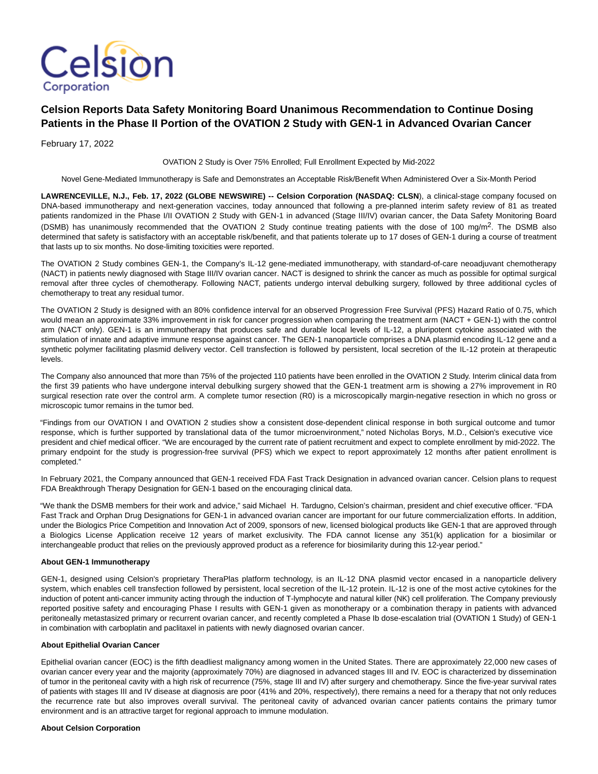

# **Celsion Reports Data Safety Monitoring Board Unanimous Recommendation to Continue Dosing Patients in the Phase II Portion of the OVATION 2 Study with GEN-1 in Advanced Ovarian Cancer**

February 17, 2022

OVATION 2 Study is Over 75% Enrolled; Full Enrollment Expected by Mid-2022

Novel Gene-Mediated Immunotherapy is Safe and Demonstrates an Acceptable Risk/Benefit When Administered Over a Six-Month Period

**LAWRENCEVILLE, N.J., Feb. 17, 2022 (GLOBE NEWSWIRE) -- Celsion Corporation (NASDAQ: CLSN**), a clinical-stage company focused on DNA-based immunotherapy and next-generation vaccines, today announced that following a pre-planned interim safety review of 81 as treated patients randomized in the Phase I/II OVATION 2 Study with GEN-1 in advanced (Stage III/IV) ovarian cancer, the Data Safety Monitoring Board (DSMB) has unanimously recommended that the OVATION 2 Study continue treating patients with the dose of 100 mg/m<sup>2</sup>. The DSMB also determined that safety is satisfactory with an acceptable risk/benefit, and that patients tolerate up to 17 doses of GEN-1 during a course of treatment that lasts up to six months. No dose-limiting toxicities were reported.

The OVATION 2 Study combines GEN-1, the Company's IL-12 gene-mediated immunotherapy, with standard-of-care neoadjuvant chemotherapy (NACT) in patients newly diagnosed with Stage III/IV ovarian cancer. NACT is designed to shrink the cancer as much as possible for optimal surgical removal after three cycles of chemotherapy. Following NACT, patients undergo interval debulking surgery, followed by three additional cycles of chemotherapy to treat any residual tumor.

The OVATION 2 Study is designed with an 80% confidence interval for an observed Progression Free Survival (PFS) Hazard Ratio of 0.75, which would mean an approximate 33% improvement in risk for cancer progression when comparing the treatment arm (NACT + GEN-1) with the control arm (NACT only). GEN-1 is an immunotherapy that produces safe and durable local levels of IL-12, a pluripotent cytokine associated with the stimulation of innate and adaptive immune response against cancer. The GEN-1 nanoparticle comprises a DNA plasmid encoding IL-12 gene and a synthetic polymer facilitating plasmid delivery vector. Cell transfection is followed by persistent, local secretion of the IL-12 protein at therapeutic levels.

The Company also announced that more than 75% of the projected 110 patients have been enrolled in the OVATION 2 Study. Interim clinical data from the first 39 patients who have undergone interval debulking surgery showed that the GEN-1 treatment arm is showing a 27% improvement in R0 surgical resection rate over the control arm. A complete tumor resection (R0) is a microscopically margin-negative resection in which no gross or microscopic tumor remains in the tumor bed.

"Findings from our OVATION I and OVATION 2 studies show a consistent dose-dependent clinical response in both surgical outcome and tumor response, which is further supported by translational data of the tumor microenvironment," noted Nicholas Borys, M.D., Celsion's executive vice president and chief medical officer. "We are encouraged by the current rate of patient recruitment and expect to complete enrollment by mid-2022. The primary endpoint for the study is progression-free survival (PFS) which we expect to report approximately 12 months after patient enrollment is completed."

In February 2021, the Company announced that GEN-1 received FDA Fast Track Designation in advanced ovarian cancer. Celsion plans to request FDA Breakthrough Therapy Designation for GEN-1 based on the encouraging clinical data.

"We thank the DSMB members for their work and advice," said Michael H. Tardugno, Celsion's chairman, president and chief executive officer. "FDA Fast Track and Orphan Drug Designations for GEN-1 in advanced ovarian cancer are important for our future commercialization efforts. In addition, under the Biologics Price Competition and Innovation Act of 2009, sponsors of new, licensed biological products like GEN-1 that are approved through a Biologics License Application receive 12 years of market exclusivity. The FDA cannot license any 351(k) application for a biosimilar or interchangeable product that relies on the previously approved product as a reference for biosimilarity during this 12-year period."

## **About GEN-1 Immunotherapy**

GEN-1, designed using Celsion's proprietary TheraPlas platform technology, is an IL-12 DNA plasmid vector encased in a nanoparticle delivery system, which enables cell transfection followed by persistent, local secretion of the IL-12 protein. IL-12 is one of the most active cytokines for the induction of potent anti-cancer immunity acting through the induction of T-lymphocyte and natural killer (NK) cell proliferation. The Company previously reported positive safety and encouraging Phase I results with GEN-1 given as monotherapy or a combination therapy in patients with advanced peritoneally metastasized primary or recurrent ovarian cancer, and recently completed a Phase Ib dose-escalation trial (OVATION 1 Study) of GEN-1 in combination with carboplatin and paclitaxel in patients with newly diagnosed ovarian cancer.

# **About Epithelial Ovarian Cancer**

Epithelial ovarian cancer (EOC) is the fifth deadliest malignancy among women in the United States. There are approximately 22,000 new cases of ovarian cancer every year and the majority (approximately 70%) are diagnosed in advanced stages III and IV. EOC is characterized by dissemination of tumor in the peritoneal cavity with a high risk of recurrence (75%, stage III and IV) after surgery and chemotherapy. Since the five-year survival rates of patients with stages III and IV disease at diagnosis are poor (41% and 20%, respectively), there remains a need for a therapy that not only reduces the recurrence rate but also improves overall survival. The peritoneal cavity of advanced ovarian cancer patients contains the primary tumor environment and is an attractive target for regional approach to immune modulation.

#### **About Celsion Corporation**